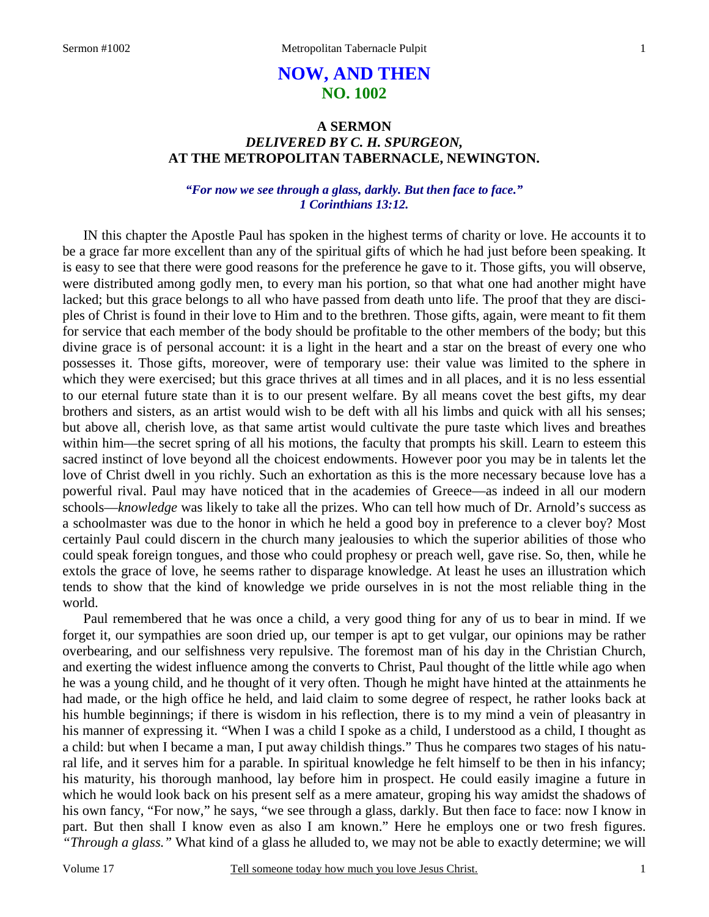# **NOW, AND THEN NO. 1002**

## **A SERMON**  *DELIVERED BY C. H. SPURGEON,*  **AT THE METROPOLITAN TABERNACLE, NEWINGTON.**

### *"For now we see through a glass, darkly. But then face to face." 1 Corinthians 13:12.*

IN this chapter the Apostle Paul has spoken in the highest terms of charity or love. He accounts it to be a grace far more excellent than any of the spiritual gifts of which he had just before been speaking. It is easy to see that there were good reasons for the preference he gave to it. Those gifts, you will observe, were distributed among godly men, to every man his portion, so that what one had another might have lacked; but this grace belongs to all who have passed from death unto life. The proof that they are disciples of Christ is found in their love to Him and to the brethren. Those gifts, again, were meant to fit them for service that each member of the body should be profitable to the other members of the body; but this divine grace is of personal account: it is a light in the heart and a star on the breast of every one who possesses it. Those gifts, moreover, were of temporary use: their value was limited to the sphere in which they were exercised; but this grace thrives at all times and in all places, and it is no less essential to our eternal future state than it is to our present welfare. By all means covet the best gifts, my dear brothers and sisters, as an artist would wish to be deft with all his limbs and quick with all his senses; but above all, cherish love, as that same artist would cultivate the pure taste which lives and breathes within him—the secret spring of all his motions, the faculty that prompts his skill. Learn to esteem this sacred instinct of love beyond all the choicest endowments. However poor you may be in talents let the love of Christ dwell in you richly. Such an exhortation as this is the more necessary because love has a powerful rival. Paul may have noticed that in the academies of Greece—as indeed in all our modern schools—*knowledge* was likely to take all the prizes. Who can tell how much of Dr. Arnold's success as a schoolmaster was due to the honor in which he held a good boy in preference to a clever boy? Most certainly Paul could discern in the church many jealousies to which the superior abilities of those who could speak foreign tongues, and those who could prophesy or preach well, gave rise. So, then, while he extols the grace of love, he seems rather to disparage knowledge. At least he uses an illustration which tends to show that the kind of knowledge we pride ourselves in is not the most reliable thing in the world.

Paul remembered that he was once a child, a very good thing for any of us to bear in mind. If we forget it, our sympathies are soon dried up, our temper is apt to get vulgar, our opinions may be rather overbearing, and our selfishness very repulsive. The foremost man of his day in the Christian Church, and exerting the widest influence among the converts to Christ, Paul thought of the little while ago when he was a young child, and he thought of it very often. Though he might have hinted at the attainments he had made, or the high office he held, and laid claim to some degree of respect, he rather looks back at his humble beginnings; if there is wisdom in his reflection, there is to my mind a vein of pleasantry in his manner of expressing it. "When I was a child I spoke as a child, I understood as a child, I thought as a child: but when I became a man, I put away childish things." Thus he compares two stages of his natural life, and it serves him for a parable. In spiritual knowledge he felt himself to be then in his infancy; his maturity, his thorough manhood, lay before him in prospect. He could easily imagine a future in which he would look back on his present self as a mere amateur, groping his way amidst the shadows of his own fancy, "For now," he says, "we see through a glass, darkly. But then face to face: now I know in part. But then shall I know even as also I am known." Here he employs one or two fresh figures. *"Through a glass."* What kind of a glass he alluded to, we may not be able to exactly determine; we will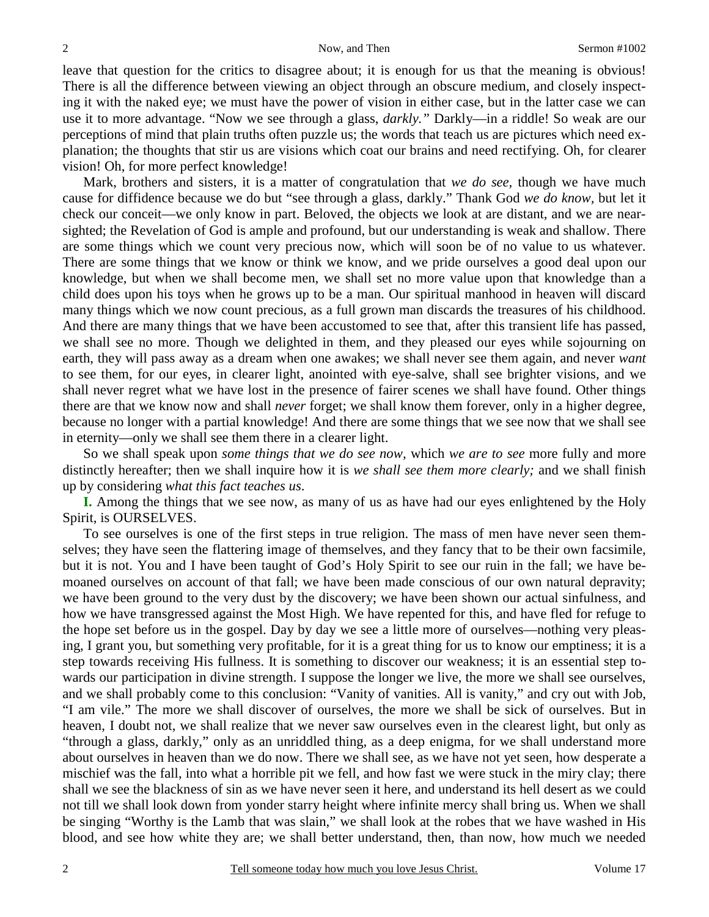leave that question for the critics to disagree about; it is enough for us that the meaning is obvious! There is all the difference between viewing an object through an obscure medium, and closely inspecting it with the naked eye; we must have the power of vision in either case, but in the latter case we can use it to more advantage. "Now we see through a glass, *darkly."* Darkly—in a riddle! So weak are our perceptions of mind that plain truths often puzzle us; the words that teach us are pictures which need explanation; the thoughts that stir us are visions which coat our brains and need rectifying. Oh, for clearer vision! Oh, for more perfect knowledge!

Mark, brothers and sisters, it is a matter of congratulation that *we do see,* though we have much cause for diffidence because we do but "see through a glass, darkly." Thank God *we do know,* but let it check our conceit—we only know in part. Beloved, the objects we look at are distant, and we are nearsighted; the Revelation of God is ample and profound, but our understanding is weak and shallow. There are some things which we count very precious now, which will soon be of no value to us whatever. There are some things that we know or think we know, and we pride ourselves a good deal upon our knowledge, but when we shall become men, we shall set no more value upon that knowledge than a child does upon his toys when he grows up to be a man. Our spiritual manhood in heaven will discard many things which we now count precious, as a full grown man discards the treasures of his childhood. And there are many things that we have been accustomed to see that, after this transient life has passed, we shall see no more. Though we delighted in them, and they pleased our eyes while sojourning on earth, they will pass away as a dream when one awakes; we shall never see them again, and never *want* to see them, for our eyes, in clearer light, anointed with eye-salve, shall see brighter visions, and we shall never regret what we have lost in the presence of fairer scenes we shall have found. Other things there are that we know now and shall *never* forget; we shall know them forever, only in a higher degree, because no longer with a partial knowledge! And there are some things that we see now that we shall see in eternity—only we shall see them there in a clearer light.

So we shall speak upon *some things that we do see now,* which *we are to see* more fully and more distinctly hereafter; then we shall inquire how it is *we shall see them more clearly;* and we shall finish up by considering *what this fact teaches us*.

**I.** Among the things that we see now, as many of us as have had our eyes enlightened by the Holy Spirit, is OURSELVES.

To see ourselves is one of the first steps in true religion. The mass of men have never seen themselves; they have seen the flattering image of themselves, and they fancy that to be their own facsimile, but it is not. You and I have been taught of God's Holy Spirit to see our ruin in the fall; we have bemoaned ourselves on account of that fall; we have been made conscious of our own natural depravity; we have been ground to the very dust by the discovery; we have been shown our actual sinfulness, and how we have transgressed against the Most High. We have repented for this, and have fled for refuge to the hope set before us in the gospel. Day by day we see a little more of ourselves—nothing very pleasing, I grant you, but something very profitable, for it is a great thing for us to know our emptiness; it is a step towards receiving His fullness. It is something to discover our weakness; it is an essential step towards our participation in divine strength. I suppose the longer we live, the more we shall see ourselves, and we shall probably come to this conclusion: "Vanity of vanities. All is vanity," and cry out with Job, "I am vile." The more we shall discover of ourselves, the more we shall be sick of ourselves. But in heaven, I doubt not, we shall realize that we never saw ourselves even in the clearest light, but only as "through a glass, darkly," only as an unriddled thing, as a deep enigma, for we shall understand more about ourselves in heaven than we do now. There we shall see, as we have not yet seen, how desperate a mischief was the fall, into what a horrible pit we fell, and how fast we were stuck in the miry clay; there shall we see the blackness of sin as we have never seen it here, and understand its hell desert as we could not till we shall look down from yonder starry height where infinite mercy shall bring us. When we shall be singing "Worthy is the Lamb that was slain," we shall look at the robes that we have washed in His blood, and see how white they are; we shall better understand, then, than now, how much we needed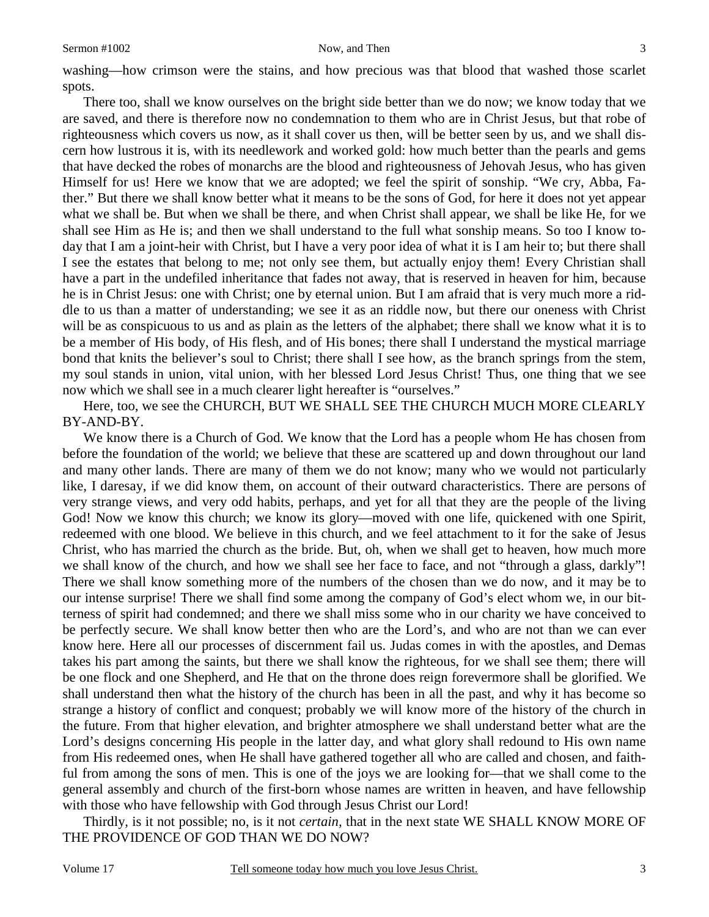washing—how crimson were the stains, and how precious was that blood that washed those scarlet spots.

There too, shall we know ourselves on the bright side better than we do now; we know today that we are saved, and there is therefore now no condemnation to them who are in Christ Jesus, but that robe of righteousness which covers us now, as it shall cover us then, will be better seen by us, and we shall discern how lustrous it is, with its needlework and worked gold: how much better than the pearls and gems that have decked the robes of monarchs are the blood and righteousness of Jehovah Jesus, who has given Himself for us! Here we know that we are adopted; we feel the spirit of sonship. "We cry, Abba, Father." But there we shall know better what it means to be the sons of God, for here it does not yet appear what we shall be. But when we shall be there, and when Christ shall appear, we shall be like He, for we shall see Him as He is; and then we shall understand to the full what sonship means. So too I know today that I am a joint-heir with Christ, but I have a very poor idea of what it is I am heir to; but there shall I see the estates that belong to me; not only see them, but actually enjoy them! Every Christian shall have a part in the undefiled inheritance that fades not away, that is reserved in heaven for him, because he is in Christ Jesus: one with Christ; one by eternal union. But I am afraid that is very much more a riddle to us than a matter of understanding; we see it as an riddle now, but there our oneness with Christ will be as conspicuous to us and as plain as the letters of the alphabet; there shall we know what it is to be a member of His body, of His flesh, and of His bones; there shall I understand the mystical marriage bond that knits the believer's soul to Christ; there shall I see how, as the branch springs from the stem, my soul stands in union, vital union, with her blessed Lord Jesus Christ! Thus, one thing that we see now which we shall see in a much clearer light hereafter is "ourselves."

Here, too, we see the CHURCH, BUT WE SHALL SEE THE CHURCH MUCH MORE CLEARLY BY-AND-BY.

We know there is a Church of God. We know that the Lord has a people whom He has chosen from before the foundation of the world; we believe that these are scattered up and down throughout our land and many other lands. There are many of them we do not know; many who we would not particularly like, I daresay, if we did know them, on account of their outward characteristics. There are persons of very strange views, and very odd habits, perhaps, and yet for all that they are the people of the living God! Now we know this church; we know its glory—moved with one life, quickened with one Spirit, redeemed with one blood. We believe in this church, and we feel attachment to it for the sake of Jesus Christ, who has married the church as the bride. But, oh, when we shall get to heaven, how much more we shall know of the church, and how we shall see her face to face, and not "through a glass, darkly"! There we shall know something more of the numbers of the chosen than we do now, and it may be to our intense surprise! There we shall find some among the company of God's elect whom we, in our bitterness of spirit had condemned; and there we shall miss some who in our charity we have conceived to be perfectly secure. We shall know better then who are the Lord's, and who are not than we can ever know here. Here all our processes of discernment fail us. Judas comes in with the apostles, and Demas takes his part among the saints, but there we shall know the righteous, for we shall see them; there will be one flock and one Shepherd, and He that on the throne does reign forevermore shall be glorified. We shall understand then what the history of the church has been in all the past, and why it has become so strange a history of conflict and conquest; probably we will know more of the history of the church in the future. From that higher elevation, and brighter atmosphere we shall understand better what are the Lord's designs concerning His people in the latter day, and what glory shall redound to His own name from His redeemed ones, when He shall have gathered together all who are called and chosen, and faithful from among the sons of men. This is one of the joys we are looking for—that we shall come to the general assembly and church of the first-born whose names are written in heaven, and have fellowship with those who have fellowship with God through Jesus Christ our Lord!

Thirdly, is it not possible; no, is it not *certain,* that in the next state WE SHALL KNOW MORE OF THE PROVIDENCE OF GOD THAN WE DO NOW?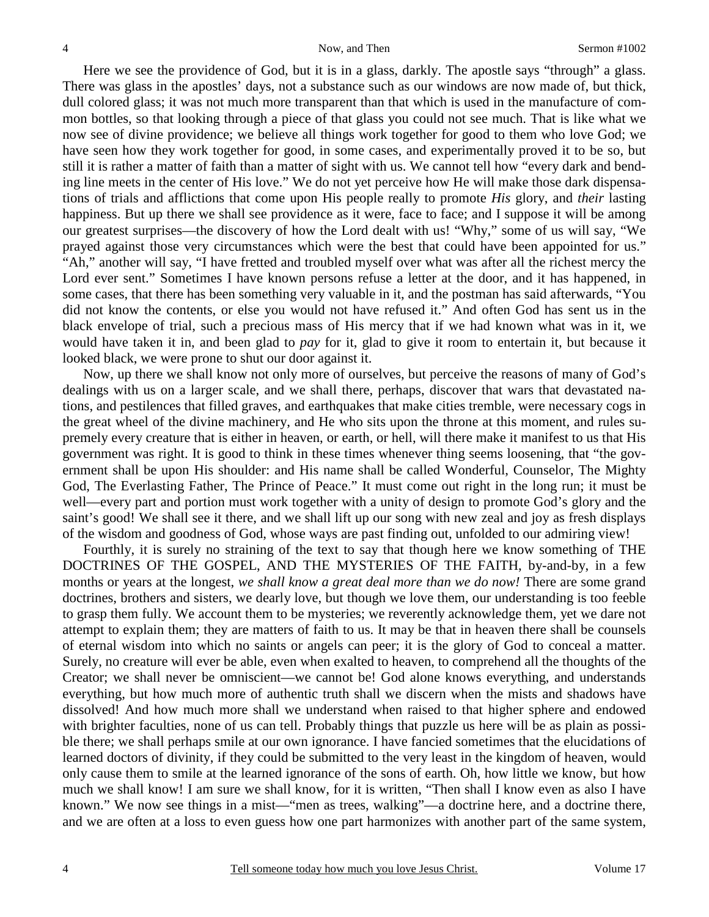Here we see the providence of God, but it is in a glass, darkly. The apostle says "through" a glass. There was glass in the apostles' days, not a substance such as our windows are now made of, but thick, dull colored glass; it was not much more transparent than that which is used in the manufacture of common bottles, so that looking through a piece of that glass you could not see much. That is like what we now see of divine providence; we believe all things work together for good to them who love God; we have seen how they work together for good, in some cases, and experimentally proved it to be so, but still it is rather a matter of faith than a matter of sight with us. We cannot tell how "every dark and bending line meets in the center of His love." We do not yet perceive how He will make those dark dispensations of trials and afflictions that come upon His people really to promote *His* glory, and *their* lasting happiness. But up there we shall see providence as it were, face to face; and I suppose it will be among our greatest surprises—the discovery of how the Lord dealt with us! "Why," some of us will say, "We prayed against those very circumstances which were the best that could have been appointed for us." "Ah," another will say, "I have fretted and troubled myself over what was after all the richest mercy the Lord ever sent." Sometimes I have known persons refuse a letter at the door, and it has happened, in some cases, that there has been something very valuable in it, and the postman has said afterwards, "You did not know the contents, or else you would not have refused it." And often God has sent us in the black envelope of trial, such a precious mass of His mercy that if we had known what was in it, we would have taken it in, and been glad to *pay* for it, glad to give it room to entertain it, but because it looked black, we were prone to shut our door against it.

Now, up there we shall know not only more of ourselves, but perceive the reasons of many of God's dealings with us on a larger scale, and we shall there, perhaps, discover that wars that devastated nations, and pestilences that filled graves, and earthquakes that make cities tremble, were necessary cogs in the great wheel of the divine machinery, and He who sits upon the throne at this moment, and rules supremely every creature that is either in heaven, or earth, or hell, will there make it manifest to us that His government was right. It is good to think in these times whenever thing seems loosening, that "the government shall be upon His shoulder: and His name shall be called Wonderful, Counselor, The Mighty God, The Everlasting Father, The Prince of Peace." It must come out right in the long run; it must be well—every part and portion must work together with a unity of design to promote God's glory and the saint's good! We shall see it there, and we shall lift up our song with new zeal and joy as fresh displays of the wisdom and goodness of God, whose ways are past finding out, unfolded to our admiring view!

Fourthly, it is surely no straining of the text to say that though here we know something of THE DOCTRINES OF THE GOSPEL, AND THE MYSTERIES OF THE FAITH, by-and-by, in a few months or years at the longest, *we shall know a great deal more than we do now!* There are some grand doctrines, brothers and sisters, we dearly love, but though we love them, our understanding is too feeble to grasp them fully. We account them to be mysteries; we reverently acknowledge them, yet we dare not attempt to explain them; they are matters of faith to us. It may be that in heaven there shall be counsels of eternal wisdom into which no saints or angels can peer; it is the glory of God to conceal a matter. Surely, no creature will ever be able, even when exalted to heaven, to comprehend all the thoughts of the Creator; we shall never be omniscient—we cannot be! God alone knows everything, and understands everything, but how much more of authentic truth shall we discern when the mists and shadows have dissolved! And how much more shall we understand when raised to that higher sphere and endowed with brighter faculties, none of us can tell. Probably things that puzzle us here will be as plain as possible there; we shall perhaps smile at our own ignorance. I have fancied sometimes that the elucidations of learned doctors of divinity, if they could be submitted to the very least in the kingdom of heaven, would only cause them to smile at the learned ignorance of the sons of earth. Oh, how little we know, but how much we shall know! I am sure we shall know, for it is written, "Then shall I know even as also I have known." We now see things in a mist—"men as trees, walking"—a doctrine here, and a doctrine there, and we are often at a loss to even guess how one part harmonizes with another part of the same system,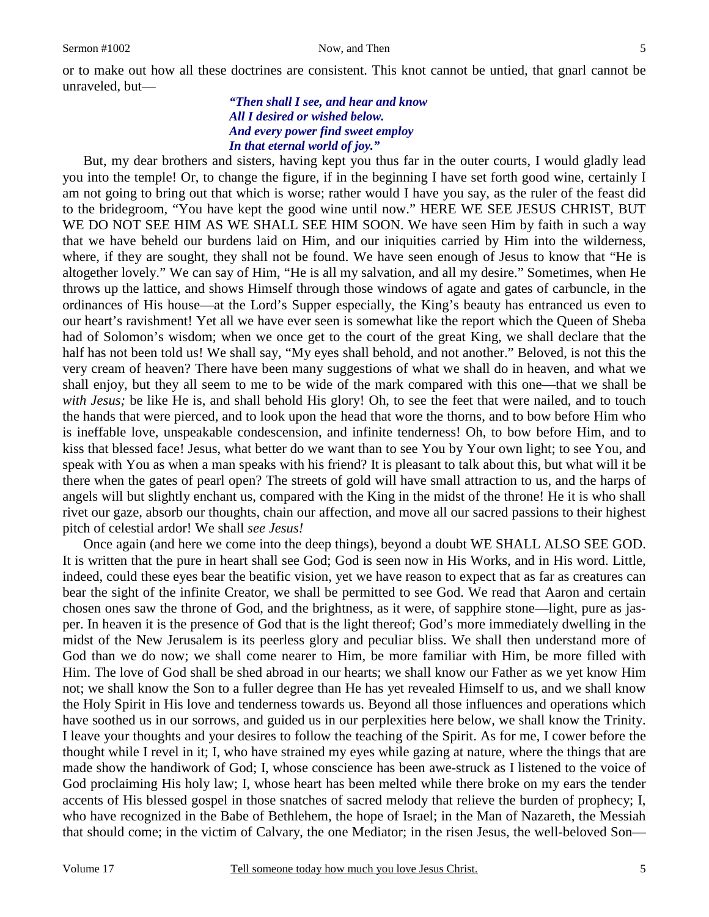### *"Then shall I see, and hear and know All I desired or wished below. And every power find sweet employ In that eternal world of joy."*

But, my dear brothers and sisters, having kept you thus far in the outer courts, I would gladly lead you into the temple! Or, to change the figure, if in the beginning I have set forth good wine, certainly I am not going to bring out that which is worse; rather would I have you say, as the ruler of the feast did to the bridegroom, "You have kept the good wine until now." HERE WE SEE JESUS CHRIST, BUT WE DO NOT SEE HIM AS WE SHALL SEE HIM SOON. We have seen Him by faith in such a way that we have beheld our burdens laid on Him, and our iniquities carried by Him into the wilderness, where, if they are sought, they shall not be found. We have seen enough of Jesus to know that "He is altogether lovely." We can say of Him, "He is all my salvation, and all my desire." Sometimes, when He throws up the lattice, and shows Himself through those windows of agate and gates of carbuncle, in the ordinances of His house—at the Lord's Supper especially, the King's beauty has entranced us even to our heart's ravishment! Yet all we have ever seen is somewhat like the report which the Queen of Sheba had of Solomon's wisdom; when we once get to the court of the great King, we shall declare that the half has not been told us! We shall say, "My eyes shall behold, and not another." Beloved, is not this the very cream of heaven? There have been many suggestions of what we shall do in heaven, and what we shall enjoy, but they all seem to me to be wide of the mark compared with this one—that we shall be *with Jesus;* be like He is, and shall behold His glory! Oh, to see the feet that were nailed, and to touch the hands that were pierced, and to look upon the head that wore the thorns, and to bow before Him who is ineffable love, unspeakable condescension, and infinite tenderness! Oh, to bow before Him, and to kiss that blessed face! Jesus, what better do we want than to see You by Your own light; to see You, and speak with You as when a man speaks with his friend? It is pleasant to talk about this, but what will it be there when the gates of pearl open? The streets of gold will have small attraction to us, and the harps of angels will but slightly enchant us, compared with the King in the midst of the throne! He it is who shall rivet our gaze, absorb our thoughts, chain our affection, and move all our sacred passions to their highest pitch of celestial ardor! We shall *see Jesus!*

Once again (and here we come into the deep things), beyond a doubt WE SHALL ALSO SEE GOD. It is written that the pure in heart shall see God; God is seen now in His Works, and in His word. Little, indeed, could these eyes bear the beatific vision, yet we have reason to expect that as far as creatures can bear the sight of the infinite Creator, we shall be permitted to see God. We read that Aaron and certain chosen ones saw the throne of God, and the brightness, as it were, of sapphire stone—light, pure as jasper. In heaven it is the presence of God that is the light thereof; God's more immediately dwelling in the midst of the New Jerusalem is its peerless glory and peculiar bliss. We shall then understand more of God than we do now; we shall come nearer to Him, be more familiar with Him, be more filled with Him. The love of God shall be shed abroad in our hearts; we shall know our Father as we yet know Him not; we shall know the Son to a fuller degree than He has yet revealed Himself to us, and we shall know the Holy Spirit in His love and tenderness towards us. Beyond all those influences and operations which have soothed us in our sorrows, and guided us in our perplexities here below, we shall know the Trinity. I leave your thoughts and your desires to follow the teaching of the Spirit. As for me, I cower before the thought while I revel in it; I, who have strained my eyes while gazing at nature, where the things that are made show the handiwork of God; I, whose conscience has been awe-struck as I listened to the voice of God proclaiming His holy law; I, whose heart has been melted while there broke on my ears the tender accents of His blessed gospel in those snatches of sacred melody that relieve the burden of prophecy; I, who have recognized in the Babe of Bethlehem, the hope of Israel; in the Man of Nazareth, the Messiah that should come; in the victim of Calvary, the one Mediator; in the risen Jesus, the well-beloved Son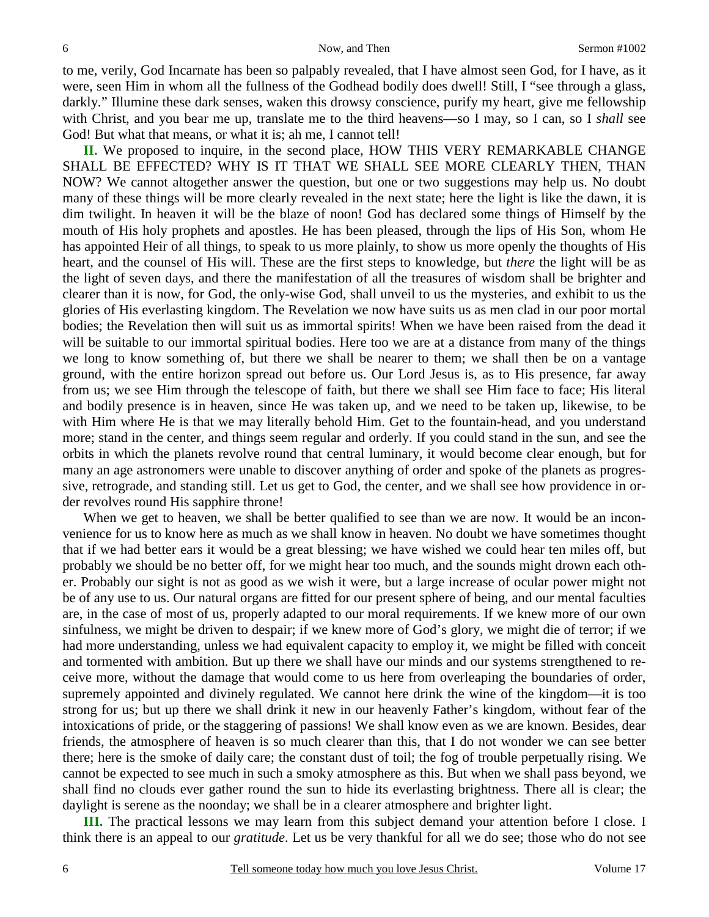to me, verily, God Incarnate has been so palpably revealed, that I have almost seen God, for I have, as it were, seen Him in whom all the fullness of the Godhead bodily does dwell! Still, I "see through a glass, darkly." Illumine these dark senses, waken this drowsy conscience, purify my heart, give me fellowship with Christ, and you bear me up, translate me to the third heavens—so I may, so I can, so I *shall* see God! But what that means, or what it is; ah me, I cannot tell!

**II.** We proposed to inquire, in the second place, HOW THIS VERY REMARKABLE CHANGE SHALL BE EFFECTED? WHY IS IT THAT WE SHALL SEE MORE CLEARLY THEN, THAN NOW? We cannot altogether answer the question, but one or two suggestions may help us. No doubt many of these things will be more clearly revealed in the next state; here the light is like the dawn, it is dim twilight. In heaven it will be the blaze of noon! God has declared some things of Himself by the mouth of His holy prophets and apostles. He has been pleased, through the lips of His Son, whom He has appointed Heir of all things, to speak to us more plainly, to show us more openly the thoughts of His heart, and the counsel of His will. These are the first steps to knowledge, but *there* the light will be as the light of seven days, and there the manifestation of all the treasures of wisdom shall be brighter and clearer than it is now, for God, the only-wise God, shall unveil to us the mysteries, and exhibit to us the glories of His everlasting kingdom. The Revelation we now have suits us as men clad in our poor mortal bodies; the Revelation then will suit us as immortal spirits! When we have been raised from the dead it will be suitable to our immortal spiritual bodies. Here too we are at a distance from many of the things we long to know something of, but there we shall be nearer to them; we shall then be on a vantage ground, with the entire horizon spread out before us. Our Lord Jesus is, as to His presence, far away from us; we see Him through the telescope of faith, but there we shall see Him face to face; His literal and bodily presence is in heaven, since He was taken up, and we need to be taken up, likewise, to be with Him where He is that we may literally behold Him. Get to the fountain-head, and you understand more; stand in the center, and things seem regular and orderly. If you could stand in the sun, and see the orbits in which the planets revolve round that central luminary, it would become clear enough, but for many an age astronomers were unable to discover anything of order and spoke of the planets as progressive, retrograde, and standing still. Let us get to God, the center, and we shall see how providence in order revolves round His sapphire throne!

When we get to heaven, we shall be better qualified to see than we are now. It would be an inconvenience for us to know here as much as we shall know in heaven. No doubt we have sometimes thought that if we had better ears it would be a great blessing; we have wished we could hear ten miles off, but probably we should be no better off, for we might hear too much, and the sounds might drown each other. Probably our sight is not as good as we wish it were, but a large increase of ocular power might not be of any use to us. Our natural organs are fitted for our present sphere of being, and our mental faculties are, in the case of most of us, properly adapted to our moral requirements. If we knew more of our own sinfulness, we might be driven to despair; if we knew more of God's glory, we might die of terror; if we had more understanding, unless we had equivalent capacity to employ it, we might be filled with conceit and tormented with ambition. But up there we shall have our minds and our systems strengthened to receive more, without the damage that would come to us here from overleaping the boundaries of order, supremely appointed and divinely regulated. We cannot here drink the wine of the kingdom—it is too strong for us; but up there we shall drink it new in our heavenly Father's kingdom, without fear of the intoxications of pride, or the staggering of passions! We shall know even as we are known. Besides, dear friends, the atmosphere of heaven is so much clearer than this, that I do not wonder we can see better there; here is the smoke of daily care; the constant dust of toil; the fog of trouble perpetually rising. We cannot be expected to see much in such a smoky atmosphere as this. But when we shall pass beyond, we shall find no clouds ever gather round the sun to hide its everlasting brightness. There all is clear; the daylight is serene as the noonday; we shall be in a clearer atmosphere and brighter light.

**III.** The practical lessons we may learn from this subject demand your attention before I close. I think there is an appeal to our *gratitude*. Let us be very thankful for all we do see; those who do not see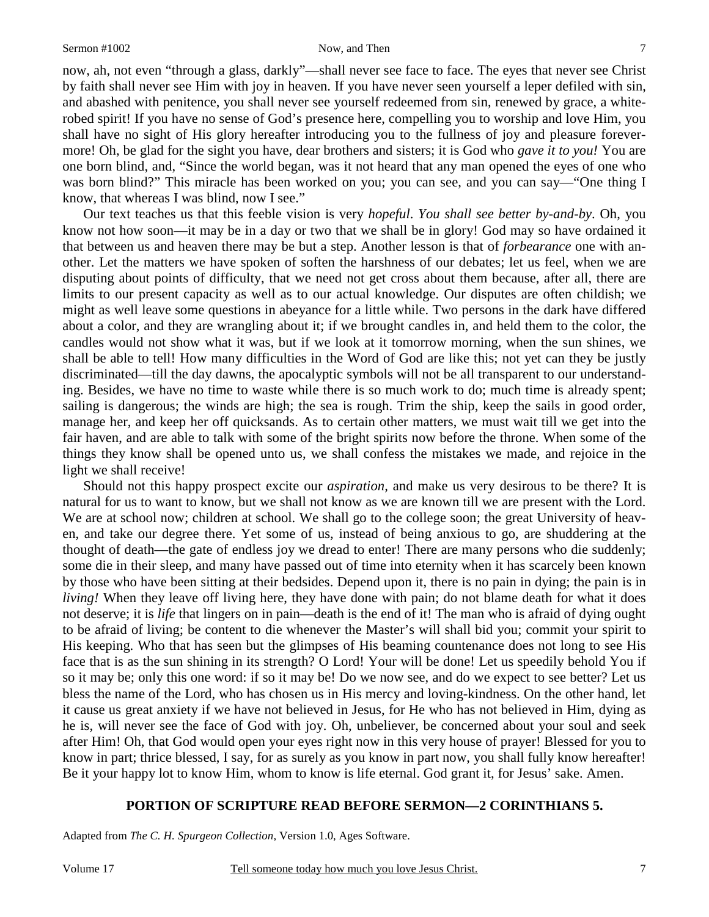now, ah, not even "through a glass, darkly"—shall never see face to face. The eyes that never see Christ by faith shall never see Him with joy in heaven. If you have never seen yourself a leper defiled with sin, and abashed with penitence, you shall never see yourself redeemed from sin, renewed by grace, a whiterobed spirit! If you have no sense of God's presence here, compelling you to worship and love Him, you shall have no sight of His glory hereafter introducing you to the fullness of joy and pleasure forevermore! Oh, be glad for the sight you have, dear brothers and sisters; it is God who *gave it to you!* You are one born blind, and, "Since the world began, was it not heard that any man opened the eyes of one who was born blind?" This miracle has been worked on you; you can see, and you can say—"One thing I know, that whereas I was blind, now I see."

Our text teaches us that this feeble vision is very *hopeful*. *You shall see better by-and-by*. Oh, you know not how soon—it may be in a day or two that we shall be in glory! God may so have ordained it that between us and heaven there may be but a step. Another lesson is that of *forbearance* one with another. Let the matters we have spoken of soften the harshness of our debates; let us feel, when we are disputing about points of difficulty, that we need not get cross about them because, after all, there are limits to our present capacity as well as to our actual knowledge. Our disputes are often childish; we might as well leave some questions in abeyance for a little while. Two persons in the dark have differed about a color, and they are wrangling about it; if we brought candles in, and held them to the color, the candles would not show what it was, but if we look at it tomorrow morning, when the sun shines, we shall be able to tell! How many difficulties in the Word of God are like this; not yet can they be justly discriminated—till the day dawns, the apocalyptic symbols will not be all transparent to our understanding. Besides, we have no time to waste while there is so much work to do; much time is already spent; sailing is dangerous; the winds are high; the sea is rough. Trim the ship, keep the sails in good order, manage her, and keep her off quicksands. As to certain other matters, we must wait till we get into the fair haven, and are able to talk with some of the bright spirits now before the throne. When some of the things they know shall be opened unto us, we shall confess the mistakes we made, and rejoice in the light we shall receive!

Should not this happy prospect excite our *aspiration,* and make us very desirous to be there? It is natural for us to want to know, but we shall not know as we are known till we are present with the Lord. We are at school now; children at school. We shall go to the college soon; the great University of heaven, and take our degree there. Yet some of us, instead of being anxious to go, are shuddering at the thought of death—the gate of endless joy we dread to enter! There are many persons who die suddenly; some die in their sleep, and many have passed out of time into eternity when it has scarcely been known by those who have been sitting at their bedsides. Depend upon it, there is no pain in dying; the pain is in *living!* When they leave off living here, they have done with pain; do not blame death for what it does not deserve; it is *life* that lingers on in pain—death is the end of it! The man who is afraid of dying ought to be afraid of living; be content to die whenever the Master's will shall bid you; commit your spirit to His keeping. Who that has seen but the glimpses of His beaming countenance does not long to see His face that is as the sun shining in its strength? O Lord! Your will be done! Let us speedily behold You if so it may be; only this one word: if so it may be! Do we now see, and do we expect to see better? Let us bless the name of the Lord, who has chosen us in His mercy and loving-kindness. On the other hand, let it cause us great anxiety if we have not believed in Jesus, for He who has not believed in Him, dying as he is, will never see the face of God with joy. Oh, unbeliever, be concerned about your soul and seek after Him! Oh, that God would open your eyes right now in this very house of prayer! Blessed for you to know in part; thrice blessed, I say, for as surely as you know in part now, you shall fully know hereafter! Be it your happy lot to know Him, whom to know is life eternal. God grant it, for Jesus' sake. Amen.

### **PORTION OF SCRIPTURE READ BEFORE SERMON—2 CORINTHIANS 5.**

Adapted from *The C. H. Spurgeon Collection*, Version 1.0, Ages Software.